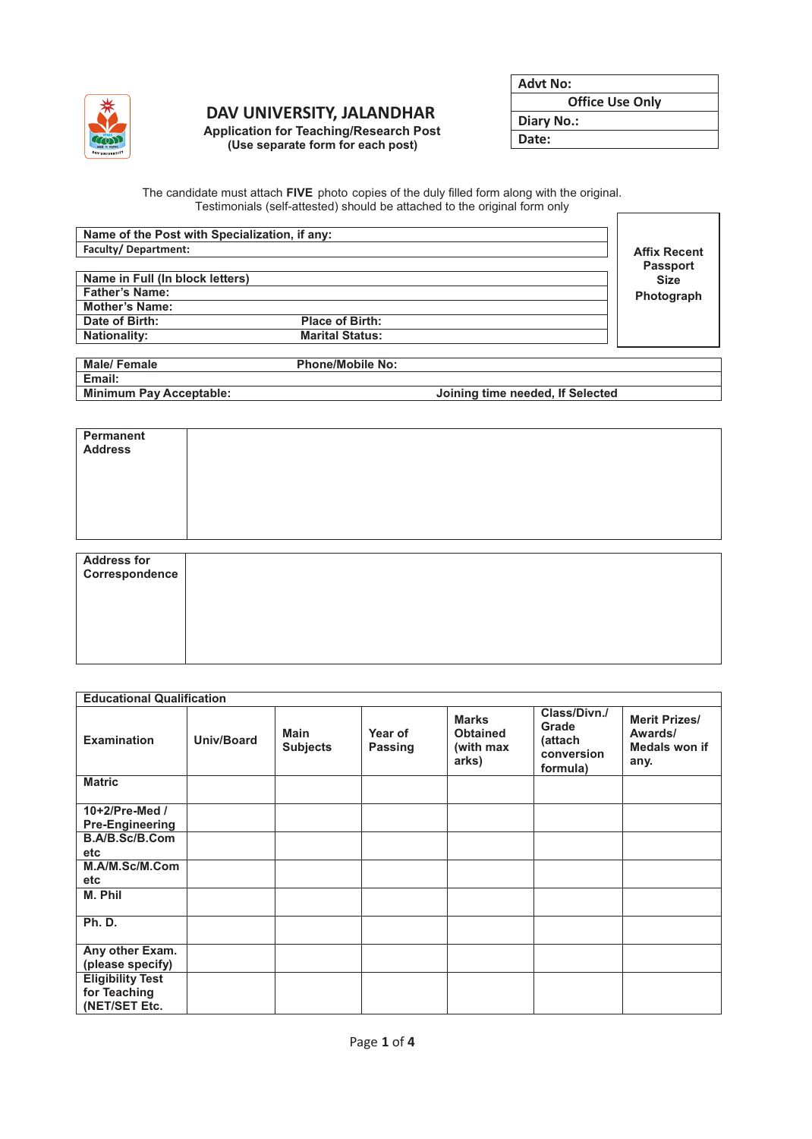

## **DAV UNIVERSITY, JALANDHAR**

**Application for Teaching/Research Post (Use separate form for each post)**

**Office Use Only**

**Diary No.:**

**Date:**

The candidate must attach **FIVE** photo copies of the duly filled form along with the original. Testimonials (self-attested) should be attached to the original form only  $\mathsf{r}$ 

| Name of the Post with Specialization, if any: |                        |                 |
|-----------------------------------------------|------------------------|-----------------|
| <b>Faculty/Department:</b>                    | <b>Affix Recent</b>    |                 |
|                                               |                        | <b>Passport</b> |
| Name in Full (In block letters)               |                        | <b>Size</b>     |
| <b>Father's Name:</b>                         |                        | Photograph      |
| <b>Mother's Name:</b>                         |                        |                 |
| Date of Birth:                                | <b>Place of Birth:</b> |                 |
| <b>Nationality:</b>                           | <b>Marital Status:</b> |                 |

| Male/ Female                   | <b>Phone/Mobile No:</b> |                                  |  |
|--------------------------------|-------------------------|----------------------------------|--|
| Email:                         |                         |                                  |  |
| <b>Minimum Pay Acceptable:</b> |                         | Joining time needed, If Selected |  |
|                                |                         |                                  |  |

| Permanent<br><b>Address</b>          |  |
|--------------------------------------|--|
|                                      |  |
| <b>Address for</b><br>Correspondence |  |
|                                      |  |

| <b>Educational Qualification</b> |            |                                |                    |                                                       |                                                            |                                                          |
|----------------------------------|------------|--------------------------------|--------------------|-------------------------------------------------------|------------------------------------------------------------|----------------------------------------------------------|
| <b>Examination</b>               | Univ/Board | <b>Main</b><br><b>Subjects</b> | Year of<br>Passing | <b>Marks</b><br><b>Obtained</b><br>(with max<br>arks) | Class/Divn./<br>Grade<br>(attach<br>conversion<br>formula) | <b>Merit Prizes/</b><br>Awards/<br>Medals won if<br>any. |
| <b>Matric</b>                    |            |                                |                    |                                                       |                                                            |                                                          |
| 10+2/Pre-Med /                   |            |                                |                    |                                                       |                                                            |                                                          |
| <b>Pre-Engineering</b>           |            |                                |                    |                                                       |                                                            |                                                          |
| B.A/B.Sc/B.Com                   |            |                                |                    |                                                       |                                                            |                                                          |
| etc                              |            |                                |                    |                                                       |                                                            |                                                          |
| M.A/M.Sc/M.Com                   |            |                                |                    |                                                       |                                                            |                                                          |
| etc                              |            |                                |                    |                                                       |                                                            |                                                          |
| M. Phil                          |            |                                |                    |                                                       |                                                            |                                                          |
| <b>Ph. D.</b>                    |            |                                |                    |                                                       |                                                            |                                                          |
| Any other Exam.                  |            |                                |                    |                                                       |                                                            |                                                          |
| (please specify)                 |            |                                |                    |                                                       |                                                            |                                                          |
| <b>Eligibility Test</b>          |            |                                |                    |                                                       |                                                            |                                                          |
| for Teaching                     |            |                                |                    |                                                       |                                                            |                                                          |
| (NET/SET Etc.                    |            |                                |                    |                                                       |                                                            |                                                          |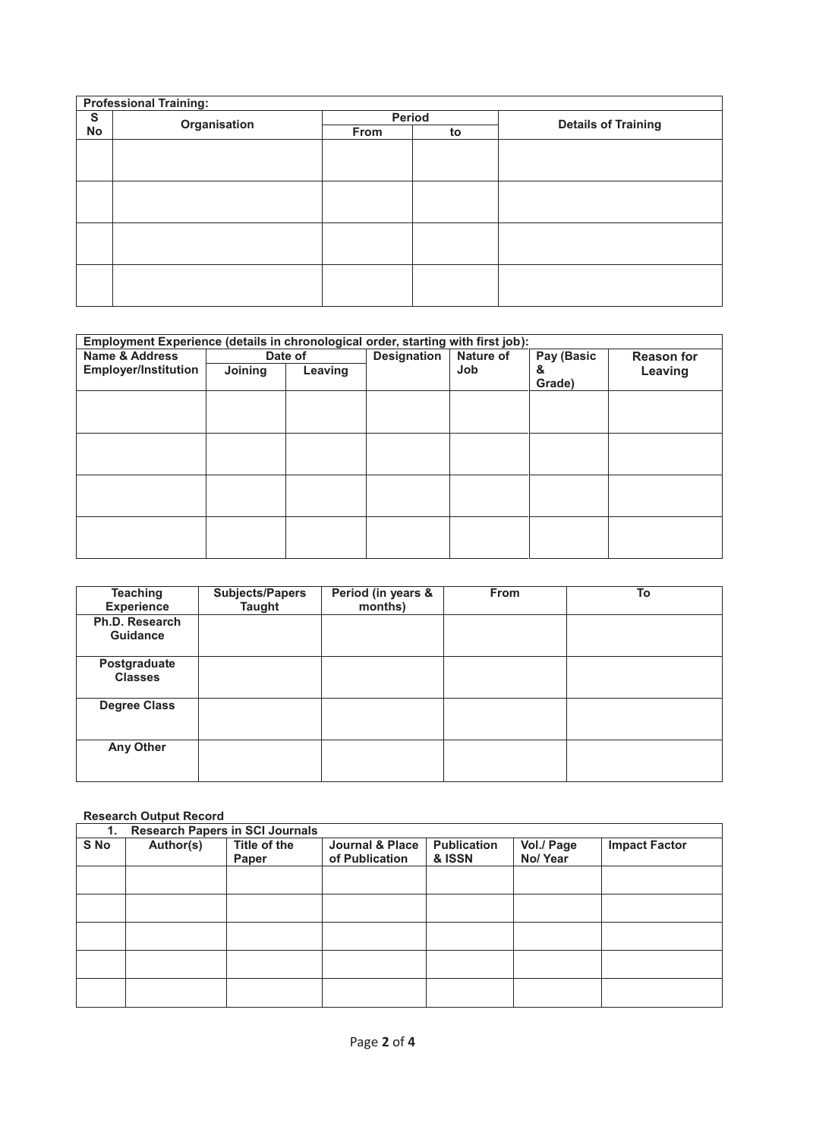| <b>Professional Training:</b> |              |        |    |                            |  |  |  |
|-------------------------------|--------------|--------|----|----------------------------|--|--|--|
| S                             | Organisation | Period |    | <b>Details of Training</b> |  |  |  |
| No                            |              | From   | to |                            |  |  |  |
|                               |              |        |    |                            |  |  |  |
|                               |              |        |    |                            |  |  |  |
|                               |              |        |    |                            |  |  |  |
|                               |              |        |    |                            |  |  |  |
|                               |              |        |    |                            |  |  |  |
|                               |              |        |    |                            |  |  |  |
|                               |              |        |    |                            |  |  |  |
|                               |              |        |    |                            |  |  |  |
|                               |              |        |    |                            |  |  |  |
|                               |              |        |    |                            |  |  |  |
|                               |              |        |    |                            |  |  |  |
|                               |              |        |    |                            |  |  |  |

| Employment Experience (details in chronological order, starting with first job): |         |         |                    |           |             |                   |  |
|----------------------------------------------------------------------------------|---------|---------|--------------------|-----------|-------------|-------------------|--|
| <b>Name &amp; Address</b>                                                        |         | Date of | <b>Designation</b> | Nature of | Pay (Basic  | <b>Reason for</b> |  |
| <b>Employer/Institution</b>                                                      | Joining | Leaving |                    | Job       | &<br>Grade) | Leaving           |  |
|                                                                                  |         |         |                    |           |             |                   |  |
|                                                                                  |         |         |                    |           |             |                   |  |
|                                                                                  |         |         |                    |           |             |                   |  |
|                                                                                  |         |         |                    |           |             |                   |  |
|                                                                                  |         |         |                    |           |             |                   |  |
|                                                                                  |         |         |                    |           |             |                   |  |
|                                                                                  |         |         |                    |           |             |                   |  |
|                                                                                  |         |         |                    |           |             |                   |  |

| <b>Teaching</b><br><b>Experience</b> | <b>Subjects/Papers</b><br><b>Taught</b> | Period (in years &<br>months) | <b>From</b> | To |
|--------------------------------------|-----------------------------------------|-------------------------------|-------------|----|
| Ph.D. Research<br><b>Guidance</b>    |                                         |                               |             |    |
| Postgraduate<br><b>Classes</b>       |                                         |                               |             |    |
| <b>Degree Class</b>                  |                                         |                               |             |    |
| Any Other                            |                                         |                               |             |    |

## **Research Output Record**

| 1.   | <b>Research Papers in SCI Journals</b> |              |                 |                    |            |                      |
|------|----------------------------------------|--------------|-----------------|--------------------|------------|----------------------|
| S No | Author(s)                              | Title of the | Journal & Place | <b>Publication</b> | Vol./ Page | <b>Impact Factor</b> |
|      |                                        | Paper        | of Publication  | & ISSN             | No/Year    |                      |
|      |                                        |              |                 |                    |            |                      |
|      |                                        |              |                 |                    |            |                      |
|      |                                        |              |                 |                    |            |                      |
|      |                                        |              |                 |                    |            |                      |
|      |                                        |              |                 |                    |            |                      |
|      |                                        |              |                 |                    |            |                      |
|      |                                        |              |                 |                    |            |                      |
|      |                                        |              |                 |                    |            |                      |
|      |                                        |              |                 |                    |            |                      |
|      |                                        |              |                 |                    |            |                      |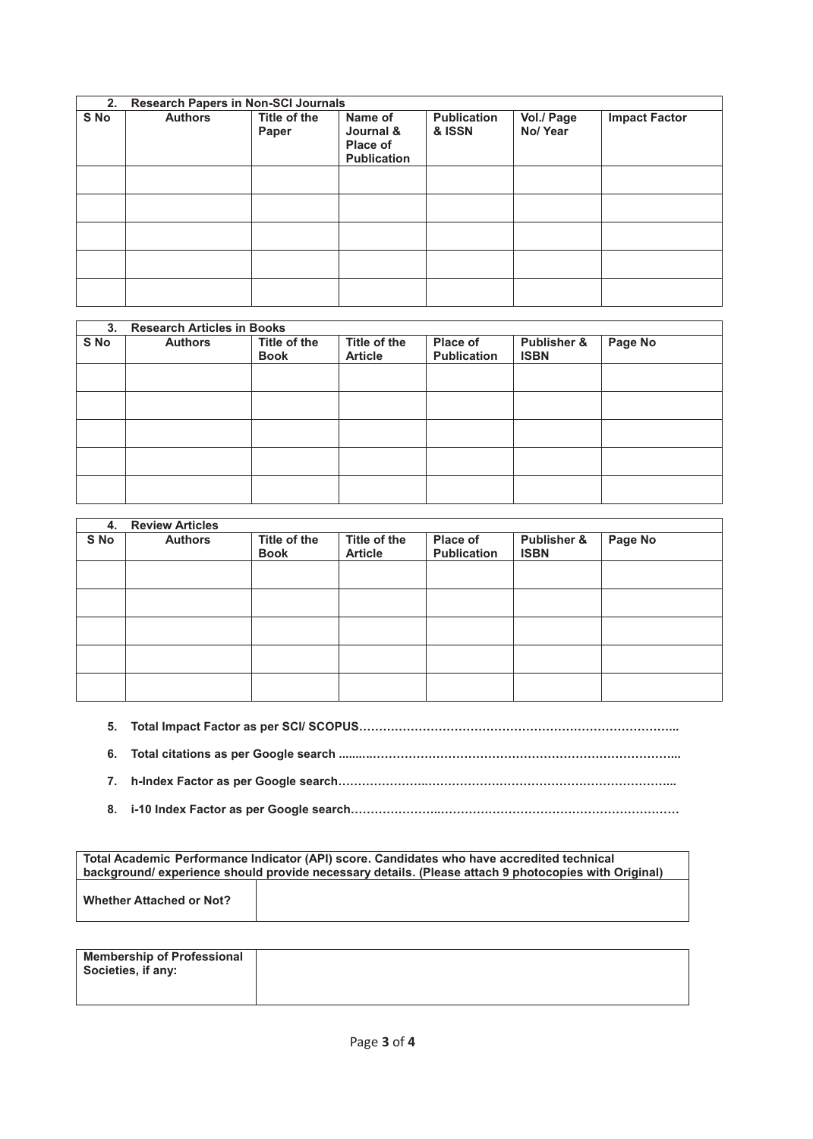| 2.   | <b>Research Papers in Non-SCI Journals</b> |                       |                                                               |                              |                       |                      |  |
|------|--------------------------------------------|-----------------------|---------------------------------------------------------------|------------------------------|-----------------------|----------------------|--|
| S No | <b>Authors</b>                             | Title of the<br>Paper | Name of<br>Journal &<br><b>Place of</b><br><b>Publication</b> | <b>Publication</b><br>& ISSN | Vol./ Page<br>No/Year | <b>Impact Factor</b> |  |
|      |                                            |                       |                                                               |                              |                       |                      |  |
|      |                                            |                       |                                                               |                              |                       |                      |  |
|      |                                            |                       |                                                               |                              |                       |                      |  |
|      |                                            |                       |                                                               |                              |                       |                      |  |
|      |                                            |                       |                                                               |                              |                       |                      |  |

| 3 <sub>1</sub> | <b>Research Articles in Books</b> |                             |                                |                                |                            |         |  |  |
|----------------|-----------------------------------|-----------------------------|--------------------------------|--------------------------------|----------------------------|---------|--|--|
| S No           | <b>Authors</b>                    | Title of the<br><b>Book</b> | Title of the<br><b>Article</b> | Place of<br><b>Publication</b> | Publisher &<br><b>ISBN</b> | Page No |  |  |
|                |                                   |                             |                                |                                |                            |         |  |  |
|                |                                   |                             |                                |                                |                            |         |  |  |
|                |                                   |                             |                                |                                |                            |         |  |  |
|                |                                   |                             |                                |                                |                            |         |  |  |
|                |                                   |                             |                                |                                |                            |         |  |  |

| 4.   | <b>Review Articles</b> |                             |                                |                                       |                            |         |
|------|------------------------|-----------------------------|--------------------------------|---------------------------------------|----------------------------|---------|
| S No | <b>Authors</b>         | Title of the<br><b>Book</b> | Title of the<br><b>Article</b> | <b>Place of</b><br><b>Publication</b> | Publisher &<br><b>ISBN</b> | Page No |
|      |                        |                             |                                |                                       |                            |         |
|      |                        |                             |                                |                                       |                            |         |
|      |                        |                             |                                |                                       |                            |         |
|      |                        |                             |                                |                                       |                            |         |
|      |                        |                             |                                |                                       |                            |         |

- **5. Total Impact Factor as per SCI/ SCOPUS……………………………………………………………………...**
- **6. Total citations as per Google search ..........…………………………………………………………………...**
- **7. h-Index Factor as per Google search…………………..……………………………………………………...**
- **8. i-10 Index Factor as per Google search…………………..……………………………………………………**

| Total Academic Performance Indicator (API) score. Candidates who have accredited technical<br>background/ experience should provide necessary details. (Please attach 9 photocopies with Original) |  |  |
|----------------------------------------------------------------------------------------------------------------------------------------------------------------------------------------------------|--|--|
| <b>Whether Attached or Not?</b>                                                                                                                                                                    |  |  |

| Membership of Professional<br>Societies, if any: |  |
|--------------------------------------------------|--|
|                                                  |  |